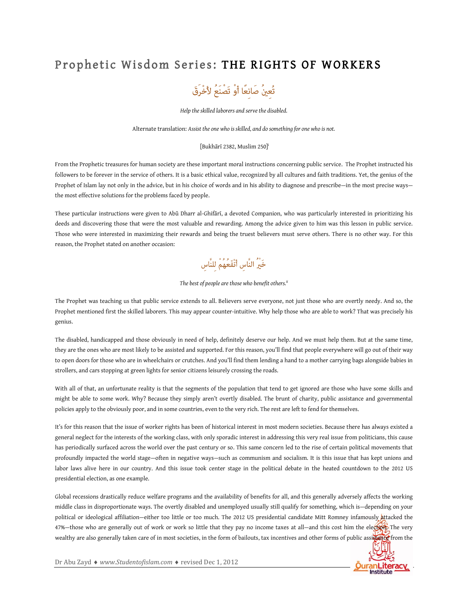## Prophetic Wisdom Series: THE RIGHTS OF WORKERS



*Help the skilled laborers and serve the disabled.* 

Alternate translation: *Assist the one who is skilled, and do something for one who is not.*

## [Bukhārī 2382, Muslim 250] i

From the Prophetic treasures for human society are these important moral instructions concerning public service. The Prophet instructed his followers to be forever in the service of others. It is a basic ethical value, recognized by all cultures and faith traditions. Yet, the genius of the Prophet of Islam lay not only in the advice, but in his choice of words and in his ability to diagnose and prescribe—in the most precise ways the most effective solutions for the problems faced by people.

These particular instructions were given to Abū Dharr al-Ghifārī, a devoted Companion, who was particularly interested in prioritizing his deeds and discovering those that were the most valuable and rewarding. Among the advice given to him was this lesson in public service. Those who were interested in maximizing their rewards and being the truest believers must serve others. There is no other way. For this reason, the Prophet stated on another occasion:

خَيْرُ النَّاس أَنْفَعُهُمْ للنَّاس

*The best of people are those who benefit others.ii*

The Prophet was teaching us that public service extends to all. Believers serve everyone, not just those who are overtly needy. And so, the Prophet mentioned first the skilled laborers. This may appear counter-intuitive. Why help those who are able to work? That was precisely his genius.

The disabled, handicapped and those obviously in need of help, definitely deserve our help. And we must help them. But at the same time, they are the ones who are most likely to be assisted and supported. For this reason, you'll find that people everywhere will go out of their way to open doors for those who are in wheelchairs or crutches. And you'll find them lending a hand to a mother carrying bags alongside babies in strollers, and cars stopping at green lights for senior citizens leisurely crossing the roads.

With all of that, an unfortunate reality is that the segments of the population that tend to get ignored are those who have some skills and might be able to some work. Why? Because they simply aren't overtly disabled. The brunt of charity, public assistance and governmental policies apply to the obviously poor, and in some countries, even to the very rich. The rest are left to fend for themselves.

It's for this reason that the issue of worker rights has been of historical interest in most modern societies. Because there has always existed a general neglect for the interests of the working class, with only sporadic interest in addressing this very real issue from politicians, this cause has periodically surfaced across the world over the past century or so. This same concern led to the rise of certain political movements that profoundly impacted the world stage—often in negative ways—such as communism and socialism. It is this issue that has kept unions and labor laws alive here in our country. And this issue took center stage in the political debate in the heated countdown to the 2012 US presidential election, as one example.

Global recessions drastically reduce welfare programs and the availability of benefits for all, and this generally adversely affects the working middle class in disproportionate ways. The overtly disabled and unemployed usually still qualify for something, which is—depending on your political or ideological affiliation-either too little or too much. The 2012 US presidential candidate Mitt Romney infamously attacked the 47%—those who are generally out of work or work so little that they pay no income taxes at all—and this cost him the election. The very wealthy are also generally taken care of in most societies, in the form of bailouts, tax incentives and other forms of public assistance from the



Dr Abu Zayd ◆ www.Studentofislam.com ◆ revised Dec 1, 2012